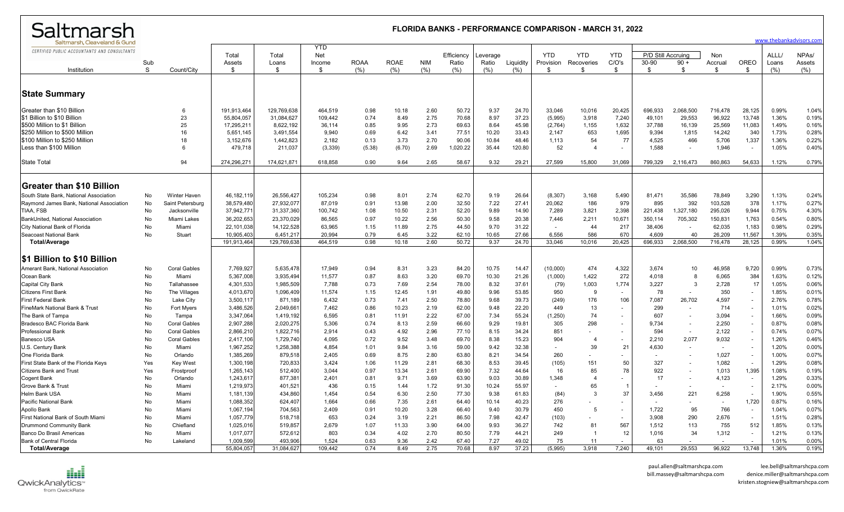| Saltmarsh                                                                                                                                                                              |                | <b>FLORIDA BANKS - PERFORMANCE COMPARISON - MARCH 31, 2022</b><br>www.thebankadvisors.com |                                                                              |                                                                             |                                                            |                                                |                                                 |                                              |                                                     |                                                 |                                                     |                                                      |                                                         |                                                   |                                                        |                                                         |                                                         |                                            |                                                    |                                                    |
|----------------------------------------------------------------------------------------------------------------------------------------------------------------------------------------|----------------|-------------------------------------------------------------------------------------------|------------------------------------------------------------------------------|-----------------------------------------------------------------------------|------------------------------------------------------------|------------------------------------------------|-------------------------------------------------|----------------------------------------------|-----------------------------------------------------|-------------------------------------------------|-----------------------------------------------------|------------------------------------------------------|---------------------------------------------------------|---------------------------------------------------|--------------------------------------------------------|---------------------------------------------------------|---------------------------------------------------------|--------------------------------------------|----------------------------------------------------|----------------------------------------------------|
| Saltmarsh, Cleaveland & Gund<br>CERTIFIED PUBLIC ACCOUNTANTS AND CONSULTANTS                                                                                                           |                |                                                                                           | Total                                                                        | Total                                                                       | <b>YTD</b><br>Net                                          |                                                |                                                 |                                              | Efficiency                                          | Leverage                                        |                                                     | <b>YTD</b>                                           | <b>YTD</b>                                              | <b>YTD</b>                                        | P/D Still Accruing                                     |                                                         | Non                                                     |                                            | ALLL/                                              | NPA <sub>s</sub> /                                 |
| Institution                                                                                                                                                                            | Sub<br>S       | Count/City                                                                                | Assets<br>-\$                                                                | Loans<br>\$                                                                 | Income<br>\$                                               | <b>ROAA</b><br>(% )                            | <b>ROAE</b><br>(%)                              | <b>NIM</b><br>(% )                           | Ratio<br>(%)                                        | Ratio<br>(%)                                    | Liquidity<br>(% )                                   | Provision<br>-\$                                     | Recoveries<br>\$                                        | C/O's<br>\$                                       | 30-90<br>\$                                            | $90 +$<br>\$                                            | Accrual<br>-S                                           | OREO<br>- \$                               | Loans<br>(% )                                      | Assets<br>(%)                                      |
| <b>State Summary</b>                                                                                                                                                                   |                |                                                                                           |                                                                              |                                                                             |                                                            |                                                |                                                 |                                              |                                                     |                                                 |                                                     |                                                      |                                                         |                                                   |                                                        |                                                         |                                                         |                                            |                                                    |                                                    |
| Greater than \$10 Billion<br>\$1 Billion to \$10 Billion<br>\$500 Million to \$1 Billion<br>S250 Million to \$500 Million<br>\$100 Million to \$250 Million<br>Less than \$100 Million |                | 23<br>25<br>16<br>18<br>-6                                                                | 191,913,464<br>55,804,057<br>17,295,211<br>5,651,145<br>3,152,676<br>479,718 | 129,769,638<br>31,084,627<br>8,622,192<br>3,491,554<br>1,442,823<br>211,037 | 464,519<br>109,442<br>36,114<br>9,940<br>2,182<br>(3, 339) | 0.98<br>0.74<br>0.85<br>0.69<br>0.13<br>(5.38) | 10.18<br>8.49<br>9.95<br>6.42<br>3.73<br>(6.70) | 2.60<br>2.75<br>2.73<br>3.41<br>2.70<br>2.69 | 50.72<br>70.68<br>69.63<br>77.51<br>90.06<br>020.22 | 9.37<br>8.97<br>8.64<br>10.20<br>10.84<br>35.44 | 24.70<br>37.23<br>45.98<br>33.43<br>48.46<br>120.80 | 33,046<br>(5,995)<br>(2,764)<br>2,147<br>1,113<br>52 | 10,016<br>3,918<br>1,155<br>653<br>54<br>$\overline{4}$ | 20,425<br>7,240<br>1,632<br>1,695<br>77<br>$\sim$ | 696.933<br>49,101<br>37,788<br>9.394<br>4,525<br>1,588 | 2,068,500<br>29,553<br>16,139<br>1,815<br>466<br>$\sim$ | 716,478<br>96,922<br>25,569<br>14,242<br>5,706<br>1,946 | 28,125<br>13,748<br>11,083<br>340<br>1,337 | 0.99%<br>1.36%<br>1.49%<br>1.73%<br>1.36%<br>1.05% | 1.04%<br>0.19%<br>0.16%<br>0.28%<br>0.22%<br>0.40% |
| <b>State Total</b>                                                                                                                                                                     |                | 94                                                                                        | 274,296,271                                                                  | 174,621,871                                                                 | 618,858                                                    | 0.90                                           | 9.64                                            | 2.65                                         | 58.67                                               | 9.32                                            | 29.21                                               | 27,599                                               | 15,800                                                  | 31,069                                            | 799,329                                                | 2,116,473                                               | 860,863                                                 | 54,633                                     | 1.12%                                              | 0.79%                                              |
| <b>Greater than \$10 Billion</b>                                                                                                                                                       |                |                                                                                           |                                                                              |                                                                             |                                                            |                                                |                                                 |                                              |                                                     |                                                 |                                                     |                                                      |                                                         |                                                   |                                                        |                                                         |                                                         |                                            |                                                    |                                                    |
| South State Bank, National Association<br>Raymond James Bank, National Association<br>TIAA, FSB                                                                                        | No<br>No<br>No | <b>Winter Haven</b><br>Saint Petersburg<br>Jacksonville                                   | 46,182,119<br>38,579,480<br>37,942,771                                       | 26,556,427<br>27,932,07<br>31,337,360                                       | 105,234<br>87,019<br>100,742                               | 0.98<br>0.91<br>1.08                           | 8.01<br>13.98<br>10.50                          | 2.74<br>2.00<br>2.31                         | 62.70<br>32.50<br>52.20                             | 9.19<br>7.22<br>9.89                            | 26.64<br>27.41<br>14.90                             | (8, 307)<br>20,062<br>7,289                          | 3,168<br>186<br>3,821                                   | 5,490<br>979<br>2,398                             | 81,471<br>895<br>221,438                               | 35,586<br>392<br>1,327,180                              | 78,849<br>103,528<br>295,026                            | 3,290<br>378<br>9,944                      | 1.13%<br>1.17%<br>0.75%                            | 0.24%<br>0.27%<br>4.30%                            |
| BankUnited, National Association<br>City National Bank of Florida<br>Seacoast National Bank                                                                                            | No<br>No<br>No | Miami Lakes<br>Miami<br>Stuart                                                            | 36,202,653<br>22,101,038<br>10,905,403                                       | 23,370,029<br>14,122,528<br>6,451,217                                       | 86,565<br>63,965<br>20,994                                 | 0.97<br>1.15<br>0.79                           | 10.22<br>11.89<br>6.45                          | 2.56<br>2.75<br>3.22                         | 50.30<br>44.50<br>62.10                             | 9.58<br>9.70<br>10.65                           | 20.38<br>31.22<br>27.66                             | 7,446<br>6,556                                       | 2,211<br>44<br>586                                      | 10,671<br>217<br>670                              | 350,114<br>38,406<br>4,609                             | 705,302<br>$\sim$<br>40                                 | 150,831<br>62,035<br>26,209                             | 1,763<br>1,183<br>11,567                   | 0.54%<br>0.98%<br>1.39%                            | 0.80%<br>0.29%<br>0.35%                            |
| <b>Total/Average</b>                                                                                                                                                                   |                |                                                                                           | 191,913,464                                                                  | 129,769,63                                                                  | 464,519                                                    | 0.98                                           | 10.18                                           | 2.60                                         | 50.72                                               | 9.37                                            | 24.70                                               | 33,046                                               | 10,016                                                  | 20,425                                            | 696,933                                                | 2,068,500                                               | 716,478                                                 | 28,125                                     | 0.99%                                              | 1.04%                                              |
| \$1 Billion to \$10 Billion                                                                                                                                                            |                |                                                                                           |                                                                              |                                                                             |                                                            |                                                |                                                 |                                              |                                                     |                                                 |                                                     |                                                      |                                                         |                                                   |                                                        |                                                         |                                                         |                                            |                                                    |                                                    |
| Amerant Bank, National Association<br>Ocean Bank                                                                                                                                       | No<br>No       | <b>Coral Gables</b><br>Miami                                                              | 7,769,927<br>5,367,008                                                       | 5,635,478<br>3,935,494                                                      | 17,949<br>11,577                                           | 0.94<br>0.87                                   | 8.31<br>8.63                                    | 3.23<br>3.20                                 | 84.20<br>69.70                                      | 10.75<br>10.30                                  | 14.47<br>21.26                                      | (10,000)<br>(1,000)                                  | 474<br>1,422                                            | 4,322<br>272                                      | 3,674<br>4,018                                         | 10<br>-8                                                | 46,958<br>6,065                                         | 9,720<br>384                               | 0.99%<br>1.63%                                     | 0.73%<br>0.12%                                     |
| Capital City Bank                                                                                                                                                                      | No             | Tallahassee                                                                               | 4,301,533                                                                    | 1,985,509                                                                   | 7,788                                                      | 0.73                                           | 7.69                                            | 2.54                                         | 78.00                                               | 8.32                                            | 37.61                                               | (79)                                                 | 1,003                                                   | 1,774                                             | 3,227                                                  | -3                                                      | 2,728                                                   | 17                                         | 1.05%                                              | 0.06%                                              |
| <b>Citizens First Bank</b>                                                                                                                                                             | No             | The Villages                                                                              | 4,013,670                                                                    | 1,096,409                                                                   | 11,574                                                     | 1.15                                           | 12.45                                           | 1.91                                         | 49.80                                               | 9.96                                            | 53.85                                               | 950                                                  | 9                                                       | $\sim$                                            | 78                                                     |                                                         | 350                                                     |                                            | 1.85%                                              | 0.01%                                              |
| <b>First Federal Bank</b>                                                                                                                                                              | No             | Lake City                                                                                 | 3,500,117                                                                    | 871,189                                                                     | 6,432                                                      | 0.73                                           | 7.41                                            | 2.50                                         | 78.80                                               | 9.68                                            | 39.73                                               | (249)                                                | 176                                                     | 106                                               | 7,087                                                  | 26,702                                                  | 4,597                                                   |                                            | 2.76%                                              | 0.78%                                              |
| FineMark National Bank & Trust                                                                                                                                                         | No             | Fort Myers                                                                                | 3,486,526                                                                    | 2,049,66                                                                    | 7,462                                                      | 0.86                                           | 10.23                                           | 2.19                                         | 62.00                                               | 9.48                                            | 22.20                                               | 449                                                  | 13                                                      |                                                   | 299                                                    |                                                         | 714                                                     | $\overline{\phantom{a}}$                   | 1.01%                                              | 0.02%                                              |
| The Bank of Tampa                                                                                                                                                                      | No             | Tampa                                                                                     | 3,347,064                                                                    | 1,419,192                                                                   | 6,595                                                      | 0.81                                           | 11.91                                           | 2.22                                         | 67.00                                               | 7.34                                            | 55.24                                               | (1,250)                                              | 74                                                      | $\sim$                                            | 607                                                    | $\overline{\phantom{a}}$                                | 3,094                                                   |                                            | 1.66%                                              | 0.09%                                              |
| Bradesco BAC Florida Bank                                                                                                                                                              | No             | <b>Coral Gables</b>                                                                       | 2,907,288                                                                    | 2,020,27                                                                    | 5,306                                                      | 0.74                                           | 8.13                                            | 2.59                                         | 66.60                                               | 9.29                                            | 19.81                                               | 305                                                  | 298                                                     |                                                   | 9,734                                                  | $\overline{\phantom{a}}$                                | 2,250                                                   |                                            | 0.87%                                              | 0.08%                                              |
| <b>Professional Bank</b>                                                                                                                                                               | No             | <b>Coral Gables</b>                                                                       | 2,866,210                                                                    | 1,822,716                                                                   | 2,914                                                      | 0.43                                           | 4.92                                            | 2.96                                         | 77.10                                               | 8.15                                            | 34.24                                               | 851                                                  |                                                         | $\sim$                                            | 594                                                    |                                                         | 2,122                                                   |                                            | 0.74%                                              | 0.07%                                              |
| <b>Banesco USA</b>                                                                                                                                                                     | No             | <b>Coral Gables</b>                                                                       | 2,417,106                                                                    | 1,729,740                                                                   | 4,095                                                      | 0.72                                           | 9.52                                            | 3.48                                         | 69.70                                               | 8.38                                            | 15.23<br>32.38                                      | 904<br>$\sim$                                        | $\overline{4}$                                          | $\sim$                                            | 2,210                                                  | 2,077<br>$\sim$                                         | 9,032<br>$\sim$                                         |                                            | 1.26%                                              | 0.46%<br>0.00%                                     |
| U.S. Century Bank<br>One Florida Bank                                                                                                                                                  | No<br>No       | Miami<br>Orlando                                                                          | 1,967,252<br>1,385,269                                                       | 1,258,388<br>879,518                                                        | 4,854<br>2,405                                             | 1.01<br>0.69                                   | 9.84<br>8.75                                    | 3.16<br>2.80                                 | 59.00<br>63.80                                      | 9.42<br>8.21                                    | 34.54                                               | 260                                                  | 39                                                      | 21                                                | 4,630                                                  |                                                         | 1,027                                                   | $\overline{\phantom{a}}$                   | 1.20%<br>1.00%                                     | 0.07%                                              |
| First State Bank of the Florida Keys                                                                                                                                                   | Yes            | <b>Key West</b>                                                                           | 1,300,198                                                                    | 720,83                                                                      | 3,424                                                      | 1.06                                           | 11.29                                           | 2.81                                         | 68.30                                               | 8.53                                            | 39.45                                               | (105)                                                | 151                                                     | 50                                                | 327                                                    | $\blacksquare$                                          | 1,082                                                   | $\overline{\phantom{a}}$                   | 1.29%                                              | 0.08%                                              |
| <b>Citizens Bank and Trust</b>                                                                                                                                                         | Yes            | Frostproof                                                                                | 1,265,143                                                                    | 512,400                                                                     | 3,044                                                      | 0.97                                           | 13.34                                           | 2.61                                         | 69.90                                               | 7.32                                            | 44.64                                               | 16                                                   | 85                                                      | 78                                                | 922                                                    |                                                         | 1,013                                                   | 1,395                                      | 1.08%                                              | 0.19%                                              |
| Cogent Bank                                                                                                                                                                            | No             | Orlando                                                                                   | 1,243,617                                                                    | 877,38                                                                      | 2,401                                                      | 0.81                                           | 9.71                                            | 3.69                                         | 63.90                                               | 9.03                                            | 30.89                                               | 1,348                                                | $\overline{4}$                                          |                                                   | 17                                                     |                                                         | 4,123                                                   | $\overline{\phantom{a}}$                   | 1.29%                                              | 0.33%                                              |
| Grove Bank & Trust                                                                                                                                                                     | No             | Miami                                                                                     | 1,219,973                                                                    | 401,52                                                                      | 436                                                        | 0.15                                           | 1.44                                            | 1.72                                         | 91.30                                               | 10.24                                           | 55.97                                               | $\blacksquare$                                       | 65                                                      | -1                                                |                                                        |                                                         | $\overline{\phantom{a}}$                                |                                            | 2.17%                                              | 0.00%                                              |
| Helm Bank USA                                                                                                                                                                          | No             | Miami                                                                                     | 1,181,139                                                                    | 434,860                                                                     | 1,454                                                      | 0.54                                           | 6.30                                            | 2.50                                         | 77.30                                               | 9.38                                            | 61.83                                               | (84)                                                 | 3                                                       | 37                                                | 3,456                                                  | 221                                                     | 6,258                                                   |                                            | 1.90%                                              | 0.55%                                              |
| Pacific National Bank                                                                                                                                                                  | No             | Miami                                                                                     | 1,088,352                                                                    | 624,407                                                                     | 1,664                                                      | 0.66                                           | 7.35                                            | 2.61                                         | 64.40                                               | 10.14                                           | 40.23                                               | 276                                                  |                                                         |                                                   |                                                        |                                                         | $\overline{\phantom{a}}$                                | 1,720                                      | 0.87%                                              | 0.16%                                              |
| Apollo Bank                                                                                                                                                                            | No             | Miami                                                                                     | 1,067,194                                                                    | 704,563                                                                     | 2,409                                                      | 0.91                                           | 10.20                                           | 3.28                                         | 66.40                                               | 9.40                                            | 30.79                                               | 450                                                  | 5                                                       | $\sim$                                            | 1,722                                                  | 95                                                      | 766                                                     | $\sim$                                     | 1.04%                                              | 0.07%                                              |
| First National Bank of South Miami                                                                                                                                                     | No             | Miami                                                                                     | 1,057,779                                                                    | 518,718                                                                     | 653                                                        | 0.24                                           | 3.19                                            | 2.21                                         | 86.50                                               | 7.98                                            | 42.47                                               | (103)                                                |                                                         | $\sim$                                            | 3,908                                                  | 290                                                     | 2,676                                                   |                                            | 1.51%                                              | 0.28%                                              |
| Drummond Community Bank                                                                                                                                                                | No             | Chiefland                                                                                 | 1,025,016                                                                    | 519,857                                                                     | 2,679                                                      | 1.07                                           | 11.33                                           | 3.90                                         | 64.00                                               | 9.93                                            | 36.27                                               | 742                                                  | 81                                                      | 567                                               | 1,512                                                  | 113                                                     | 755                                                     | 512                                        | 1.85%                                              | 0.13%                                              |
| Banco Do Brasil Americas                                                                                                                                                               | No             | Miami                                                                                     | 1,017,077                                                                    | 572,612                                                                     | 803                                                        | 0.34                                           | 4.02                                            | 2.70                                         | 80.50                                               | 7.79                                            | 44.21                                               | 249                                                  | $\overline{\mathbf{1}}$                                 | 12                                                | 1,016                                                  | 34                                                      | 1,312                                                   |                                            | 1.21%                                              | 0.13%                                              |
| <b>Bank of Central Florida</b><br><b>Total/Average</b>                                                                                                                                 | No             | Lakeland                                                                                  | 1,009,599<br>55,804,057                                                      | 493,906<br>31,084,627                                                       | 1,524<br>109,442                                           | 0.63<br>0.74                                   | 9.36<br>8.49                                    | 2.42<br>2.75                                 | 67.40<br>70.68                                      | 7.27<br>8.97                                    | 49.02<br>37.23                                      | 75<br>(5,995)                                        | 11<br>3,918                                             | 7,240                                             | 63<br>49,101                                           | 29,553                                                  | 96,922                                                  | 13,748                                     | 1.01%<br>1.36%                                     | 0.00%<br>0.19%                                     |

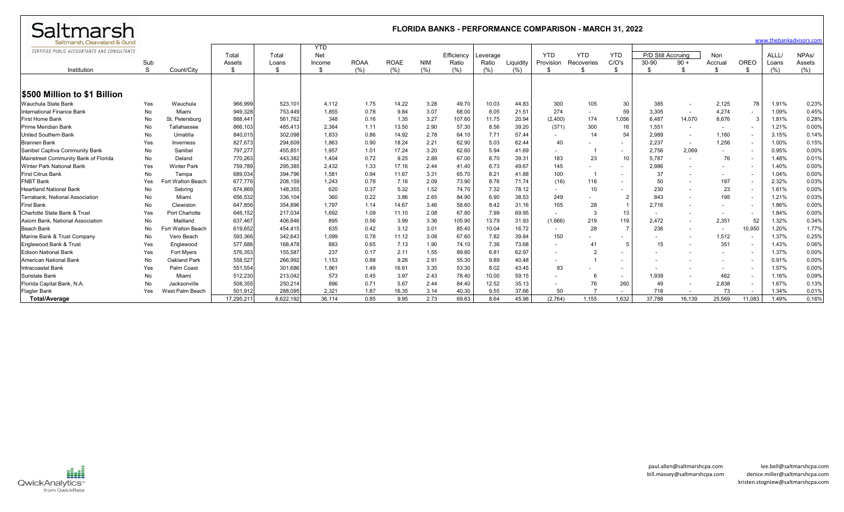| Saltmarsh                                    | <b>FLORIDA BANKS - PERFORMANCE COMPARISON - MARCH 31, 2022</b> |                    |                 |                |              |             |             |            |                     |                   |           |                 |                  |                          |                             |        |                          |                          |               |                              |
|----------------------------------------------|----------------------------------------------------------------|--------------------|-----------------|----------------|--------------|-------------|-------------|------------|---------------------|-------------------|-----------|-----------------|------------------|--------------------------|-----------------------------|--------|--------------------------|--------------------------|---------------|------------------------------|
| Saltmarsh, Cleaveland & Gund                 |                                                                |                    |                 |                |              |             |             |            |                     |                   |           |                 |                  |                          |                             |        |                          |                          |               | www.thebankadvisors.com      |
| CERTIFIED PUBLIC ACCOUNTANTS AND CONSULTANTS |                                                                |                    |                 |                | <b>YTD</b>   |             |             |            |                     |                   |           |                 |                  |                          |                             |        |                          |                          |               |                              |
|                                              | Sub                                                            |                    | Total<br>Assets | Total<br>Loans | <b>Net</b>   | <b>ROAA</b> | <b>ROAE</b> | <b>NIM</b> | Efficiency<br>Ratio | Leverage<br>Ratio | Liquidity | <b>YTD</b>      | <b>YTD</b>       | <b>YTD</b><br>C/O's      | P/D Still Accruing<br>30-90 | $90 +$ | <b>Non</b><br>Accrua     | OREO                     | ALLL/         | NPA <sub>s</sub> /<br>Assets |
| Institution                                  | <sub>S</sub>                                                   | Count/City         | \$              | \$             | Income<br>\$ | (% )        | (% )        | (% )       | (% )                | (%)               | (%)       | Provision<br>\$ | Recoveries<br>\$ | \$                       | \$                          | \$     | - \$                     | - \$                     | Loans<br>(% ) | (%)                          |
|                                              |                                                                |                    |                 |                |              |             |             |            |                     |                   |           |                 |                  |                          |                             |        |                          |                          |               |                              |
|                                              |                                                                |                    |                 |                |              |             |             |            |                     |                   |           |                 |                  |                          |                             |        |                          |                          |               |                              |
| <b>\$500 Million to \$1 Billion</b>          |                                                                |                    |                 |                |              |             |             |            |                     |                   |           |                 |                  |                          |                             |        |                          |                          |               |                              |
| Wauchula State Bank                          | Yes                                                            | Wauchula           | 966,999         | 523,10'        | 4,112        | 1.75        | 14.22       | 3.28       | 49.70               | 10.03             | 44.83     | 300             | 105              | 30                       | 385                         | $\sim$ | 2,125                    | 78                       | 1.91%         | 0.23%                        |
| International Finance Bank                   | No                                                             | Miami              | 949,328         | 753,449        | 1,855        | 0.78        | 9.84        | 3.07       | 68.00               | 8.05              | 21.51     | 274             | $\sim$           | 59                       | 3,305                       | $\sim$ | 4,274                    | $\sim$                   | 1.09%         | 0.45%                        |
| First Home Bank                              | No                                                             | St. Petersburg     | 888,44          | 561,762        | 348          | 0.16        | 1.35        | 3.27       | 107.60              | 11.75             | 20.94     | (2,400)         | 174              | 1,056                    | 6.487                       | 14,070 | 8,676                    | 3                        | 1.81%         | 0.28%                        |
| <b>Prime Meridian Bank</b>                   | No                                                             | Tallahassee        | 866,103         | 485,41         | 2,364        | 1.11        | 13.50       | 2.90       | 57.30               | 8.56              | 39.20     | (371)           | 300              | 16                       | 1,551                       | $\sim$ | $\overline{\phantom{a}}$ |                          | 1.21%         | 0.00%                        |
| <b>United Southern Bank</b>                  | No                                                             | Umatilla           | 840,015         | 302,098        | 1,833        | 0.86        | 14.92       | 2.78       | 64.10               | 7.71              | 57.44     |                 | 14               | 54                       | 2,989                       | $\sim$ | 1,160                    |                          | 3.15%         | 0.14%                        |
| <b>Brannen Bank</b>                          | Yes                                                            | Inverness          | 827,673         | 294,609        | 1,863        | 0.90        | 18.24       | 2.21       | 62.90               | 5.03              | 62.44     | 40              |                  | $\sim$                   | 2.237                       | $\sim$ | 1,256                    | $\overline{\phantom{a}}$ | 1.00%         | 0.15%                        |
| Sanibel Captiva Community Bank               | No                                                             | Sanibel            | 797,277         | 455,85         | 1,957        | 1.01        | 17.24       | 3.20       | 62.60               | 5.94              | 41.69     |                 |                  | $\sim$                   | 2.756                       | 2,069  |                          |                          | 0.95%         | 0.00%                        |
| Mainstreet Community Bank of Florida         | No                                                             | Deland             | 770,263         | 443,382        | 1,404        | 0.72        | 9.25        | 2.89       | 67.00               | 8.70              | 39.31     | 183             | 23               | 10                       | 5.787                       | $\sim$ | 76                       |                          | 1.48%         | 0.01%                        |
| <b>Winter Park National Bank</b>             | Yes                                                            | <b>Winter Park</b> | 759,789         | 295,385        | 2,432        | 1.33        | 17.16       | 2.44       | 41.40               | 6.73              | 49.67     | 145             |                  | $\overline{\phantom{a}}$ | 2.986                       |        |                          |                          | 1.40%         | 0.00%                        |
| <b>First Citrus Bank</b>                     | No                                                             | Tampa              | 689,034         | 394.796        | 1,581        | 0.94        | 11.67       | 3.31       | 65.70               | 8.21              | 41.88     | 100             |                  | $\overline{a}$           | 37                          |        |                          |                          | 1.04%         | 0.00%                        |
| <b>FNBT Bank</b>                             | Yes                                                            | Fort Walton Beach  | 677,776         | 208,159        | 1,243        | 0.78        | 7.16        | 2.09       | 73.90               | 8.76              | 71.74     | (16)            | 116              | $\sim$                   | 50                          |        | 197                      | $\overline{\phantom{a}}$ | 2.32%         | 0.03%                        |
| <b>Heartland National Bank</b>               | No                                                             | Sebring            | 674,869         | 148,355        | 620          | 0.37        | 5.32        | 1.52       | 74.70               | 7.32              | 78.12     | $\sim$          | 10               | $\overline{\phantom{a}}$ | 230                         |        | 23                       | $\sim$                   | 1.61%         | 0.00%                        |
| Terrabank. National Association              | No                                                             | Miami              | 656,532         | 336,104        | 360          | 0.22        | 3.86        | 2.65       | 84.90               | 6.90              | 38.53     | 249             |                  | $\overline{2}$           | 843                         |        | 195                      | $\overline{\phantom{a}}$ | 1.21%         | 0.03%                        |
| <b>First Bank</b>                            | No                                                             | Clewiston          | 647,856         | 354,896        | 1.797        | 1.14        | 14.67       | 3.46       | 58.60               | 8.42              | 31.16     | 105             | 28               |                          | 2,716                       |        | $\overline{\phantom{a}}$ | $\overline{\phantom{a}}$ | 1.86%         | 0.00%                        |
| Charlotte State Bank & Trus                  | Yes                                                            | Port Charlotte     | 646,152         | 217,034        | 1.692        | 1.09        | 11.10       | 2.08       | 67.80               | 7.99              | 69.95     | $\sim$          | 3                | 13                       | $\sim$                      | $\sim$ |                          | $\sim$                   | 1.84%         | 0.00%                        |
| Axiom Bank, National Association             | No                                                             | Maitland           | 637,467         | 406,646        | 895          | 0.56        | 3.99        | 3.36       | 105.90              | 13.79             | 31.93     | (1,666)         | 219              | 119                      | 2.472                       | $\sim$ | 2,351                    | 52                       | 1.32%         | 0.349                        |
| <b>Beach Bank</b>                            | No                                                             | Fort Walton Beach  | 619,652         | 454,415        | 635          | 0.42        | 3.12        | 3.01       | 85.40               | 10.04             | 16.72     | $\sim$          | 28               |                          | 236                         | $\sim$ | $\sim$                   | 10,950                   | 1.20%         | 1.77%                        |
| Marine Bank & Trust Company                  | No                                                             | Vero Beach         | 593,366         | 342.643        | 1,099        | 0.78        | 11.12       | 3.08       | 67.60               | 7.82              | 39.84     | 150             |                  | $\overline{\phantom{a}}$ | $\overline{\phantom{a}}$    | $\sim$ | 1,512                    | $\sim$                   | 1.37%         | 0.25%                        |
| Englewood Bank & Trust                       | Yes                                                            | Englewood          | 577,688         | 168,478        | 883          | 0.65        | 7.13        | 1.90       | 74.10               | 7.36              | 73.68     |                 |                  | 5                        | 15                          |        | 351                      |                          | 1.43%         | 0.06%                        |
| <b>Edison National Bank</b>                  | Yes                                                            | <b>Fort Myers</b>  | 576,353         | 155,587        | 237          | 0.17        | 2.11        | 1.55       | 89.80               | 6.81              | 62.97     |                 |                  | $\overline{a}$           |                             |        |                          |                          | 1.37%         | 0.00%                        |
| American National Bank                       | No                                                             | Oakland Park       | 558,527         | 266,992        | 1,153        | 0.88        | 9.26        | 2.91       | 55.30               | 9.89              | 40.48     |                 |                  | $\overline{\phantom{a}}$ |                             |        |                          |                          | 0.91%         | 0.00%                        |
| Intracoastal Bank                            | Yes                                                            | Palm Coast         | 551,554         | 301,686        | 1,961        | 1.49        | 16.61       | 3.35       | 53.30               | 8.02              | 43.45     | 93              |                  |                          |                             |        |                          |                          | 1.57%         | 0.00%                        |
| Sunstate Bank                                | No.                                                            | Miami              | 512,230         | 213,042        | 573          | 0.45        | 3.97        | 2.43       | 78.40               | 10.00             | 59.15     |                 |                  | $\overline{\phantom{a}}$ | 1.939                       |        | 462                      |                          | 1.16%         | 0.09%                        |
| Florida Capital Bank, N.A                    | No                                                             | Jacksonville       | 508,355         | 250,214        | 896          | 0.71        | 5.67        | 2.44       | 84.40               | 12.52             | 35.13     |                 | 76               | 260                      | 49                          | $\sim$ | 2,838                    |                          | 1.67%         | 0.13%                        |
| <b>Flagler Bank</b>                          | Yes                                                            | West Palm Beach    | 501.912         | 288.095        | 2.321        | 1.87        | 16.35       | 3.14       | 40.30               | 9.55              | 37.66     | 50              |                  | $\overline{a}$           | 718                         | $\sim$ | 73                       |                          | 1.34%         | 0.01                         |
| <b>Total/Average</b>                         |                                                                |                    | 17,295,21       | 8,622,192      | 36.114       | 0.85        | 9.95        | 2.73       | 69.63               | 8.64              | 45.98     | (2,764)         | 1,155            | 1,632                    | 37,788                      | 16,139 | 25,569                   | 11,083                   | 1.49%         | 0.16%                        |

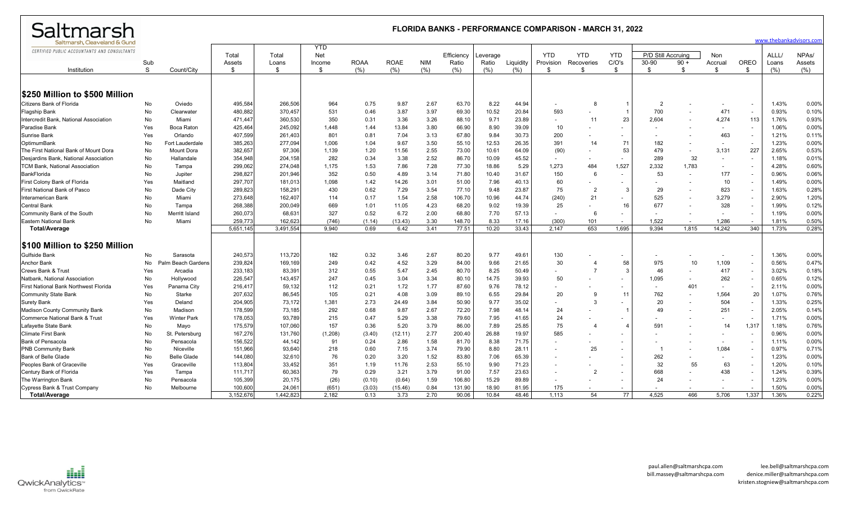| Saltmarsh                                    | <b>FLORIDA BANKS - PERFORMANCE COMPARISON - MARCH 31, 2022</b> |                    |           |           |                   |             |             |            |            |          |           |                          |                          |                          |                    |        |                          |                          |       |                         |
|----------------------------------------------|----------------------------------------------------------------|--------------------|-----------|-----------|-------------------|-------------|-------------|------------|------------|----------|-----------|--------------------------|--------------------------|--------------------------|--------------------|--------|--------------------------|--------------------------|-------|-------------------------|
| Saltmarsh, Cleaveland & Gund                 |                                                                |                    |           |           |                   |             |             |            |            |          |           |                          |                          |                          |                    |        |                          |                          |       | www.thebankadvisors.con |
| CERTIFIED PUBLIC ACCOUNTANTS AND CONSULTANTS |                                                                |                    | Total     | Total     | <b>YTD</b><br>Net |             |             |            | Efficiency | Leverage |           | <b>YTD</b>               | <b>YTD</b>               | <b>YTD</b>               | P/D Still Accruing |        | Non                      |                          | ALLL/ | NPA <sub>s</sub> /      |
|                                              | Sub                                                            |                    | Assets    | Loans     | Income            | <b>ROAA</b> | <b>ROAE</b> | <b>NIM</b> | Ratio      | Ratio    | Liquidity | Provision                | Recoveries               | C/O's                    | 30-90              | $90 +$ | Accrual                  | OREO                     | Loans | Assets                  |
| Institution                                  | S                                                              | Count/City         | £.        | \$        | -S                | (%)         | (%)         | (% )       | (%)        | (%)      | (% )      | S                        | - \$                     | -\$                      | \$                 | -\$    | \$                       | - \$                     | (% )  | (% )                    |
|                                              |                                                                |                    |           |           |                   |             |             |            |            |          |           |                          |                          |                          |                    |        |                          |                          |       |                         |
| \$250 Million to \$500 Million               |                                                                |                    |           |           |                   |             |             |            |            |          |           |                          |                          |                          |                    |        |                          |                          |       |                         |
| Citizens Bank of Florida                     | No                                                             | Oviedo             | 495,584   | 266,506   | 964               | 0.75        | 9.87        | 2.67       | 63.70      | 8.22     | 44.94     |                          | 8                        | $\overline{1}$           | $\overline{2}$     |        |                          |                          | 1.43% | 0.00%                   |
| <b>Flagship Bank</b>                         | No                                                             | Clearwater         | 480,882   | 370,457   | 531               | 0.46        | 3.87        | 3.97       | 69.30      | 10.52    | 20.84     | 593                      |                          | $\overline{1}$           | 700                |        | 471                      | $\overline{\phantom{a}}$ | 0.93% | 0.10%                   |
| Intercredit Bank, National Association       | No                                                             | Miami              | 471,447   | 360,530   | 350               | 0.31        | 3.36        | 3.26       | 88.10      | 9.71     | 23.89     | $\overline{\phantom{0}}$ | 11                       | 23                       | 2,604              |        | 4,274                    | 113                      | 1.76% | 0.93%                   |
| Paradise Bank                                | Yes                                                            | Boca Raton         | 425,464   | 245,092   | 1,448             | 1.44        | 13.84       | 3.80       | 66.90      | 8.90     | 39.09     | 10                       |                          | $\sim$                   |                    |        | $\overline{\phantom{a}}$ |                          | 1.06% | 0.00%                   |
| Sunrise Bank                                 | Yes                                                            | Orlando            | 407,599   | 261,403   | 801               | 0.81        | 7.04        | 3.13       | 67.80      | 9.84     | 30.73     | 200                      | $\overline{\phantom{a}}$ | $\sim$                   |                    |        | 463                      | $\overline{\phantom{a}}$ | 1.21% | 0.11%                   |
| OptimumBank                                  | No                                                             | Fort Lauderdale    | 385,263   | 277,094   | 1.006             | 1.04        | 9.67        | 3.50       | 55.10      | 12.53    | 26.35     | 391                      | 14                       | 71                       | 182                |        | $\overline{\phantom{a}}$ | $\overline{\phantom{a}}$ | 1.23% | 0.00%                   |
| The First National Bank of Mount Dora        | No                                                             | Mount Dora         | 382,657   | 97,306    | 1,139             | 1.20        | 11.56       | 2.55       | 73.00      | 10.61    | 64.09     | (90)                     |                          | 53                       | 479                |        | 3,131                    | 227                      | 2.65% | 0.53%                   |
| Desjardins Bank, National Association        | No                                                             | Hallandale         | 354,948   | 204,158   | 282               | 0.34        | 3.38        | 2.52       | 86.70      | 10.09    | 45.52     | $\sim$                   |                          | $\sim$                   | 289                | 32     | $\overline{\phantom{a}}$ |                          | 1.18% | 0.01%                   |
| <b>TCM Bank, National Association</b>        | No                                                             | Tampa              | 299,062   | 274,048   | 1,175             | 1.53        | 7.86        | 7.28       | 77.30      | 18.86    | 5.29      | 1,273                    | 484                      | 1,527                    | 2,332              | 1,783  | $\overline{\phantom{a}}$ |                          | 4.28% | 0.60%                   |
| BankFlorida                                  | No                                                             | Jupiter            | 298,827   | 201,946   | 352               | 0.50        | 4.89        | 3.14       | 71.80      | 10.40    | 31.67     | 150                      | 6                        | $\overline{\phantom{a}}$ | 53                 | $\sim$ | 177                      |                          | 0.96% | 0.06%                   |
| First Colony Bank of Florida                 | Yes                                                            | Maitland           | 297,707   | 181,013   | 1,098             | 1.42        | 14.26       | 3.01       | 51.00      | 7.96     | 40.13     | 60                       |                          |                          |                    |        | 10                       | $\sim$                   | 1.49% | 0.00%                   |
| First National Bank of Pasco                 | No                                                             | Dade City          | 289,823   | 158,291   | 430               | 0.62        | 7.29        | 3.54       | 77.10      | 9.48     | 23.87     | 75                       | 2                        | 3                        | 29                 |        | 823                      |                          | 1.63% | 0.28%                   |
| Interamerican Bank                           | No                                                             | Miami              | 273,648   | 162,407   | 114               | 0.17        | 1.54        | 2.58       | 106.70     | 10.96    | 44.74     | (240)                    | 21                       |                          | 525                |        | 3,279                    |                          | 2.90% | 1.20%                   |
| <b>Central Bank</b>                          | No                                                             | Tampa              | 268,388   | 200,049   | 669               | 1.01        | 11.05       | 4.23       | 68.20      | 9.02     | 19.39     | 25                       |                          | 16                       | 677                |        | 328                      |                          | 1.99% | 0.12%                   |
| Community Bank of the South                  | No                                                             | Merritt Island     | 260,073   | 68,631    | 327               | 0.52        | 6.72        | 2.00       | 68.80      | 7.70     | 57.13     | $\overline{\phantom{a}}$ | 6                        |                          |                    |        | $\overline{\phantom{a}}$ |                          | 1.19% | 0.00%                   |
| <b>Eastern National Bank</b>                 | No                                                             | Miami              | 259,773   | 162,62    | (746)             | (1.14)      | (13.43)     | 3.30       | 148.70     | 8.33     | 17.16     | (300)                    | 101                      | $\sim$                   | 1.522              |        | 1,286                    |                          | 1.81% | 0.50%                   |
| <b>Total/Average</b>                         |                                                                |                    | 5,651,145 | 3,491,554 | 9,940             | 0.69        | 6.42        | 3.41       | 77.51      | 10.20    | 33.43     | 2,147                    | 653                      | 1,695                    | 9.394              | 1,815  | 14,242                   | 340                      | 1.73% | 0.28%                   |
| \$100 Million to \$250 Million               |                                                                |                    |           |           |                   |             |             |            |            |          |           |                          |                          |                          |                    |        |                          |                          |       |                         |
| <b>Gulfside Bank</b>                         | No                                                             | Sarasota           | 240,573   | 113,720   | 182               | 0.32        | 3.46        | 2.67       | 80.20      | 9.77     | 49.61     | 130                      |                          |                          |                    |        |                          |                          | 1.36% | 0.00%                   |
| <b>Anchor Bank</b>                           | No                                                             | Palm Beach Gardens | 239,824   | 169,169   | 249               | 0.42        | 4.52        | 3.29       | 84.00      | 9.66     | 21.65     | 30                       | 4                        | 58                       | 975                | 10     | 1,109                    | $\overline{\phantom{a}}$ | 0.56% | 0.47%                   |
| <b>Crews Bank &amp; Trust</b>                | Yes                                                            | Arcadia            | 233,183   | 83,391    | 312               | 0.55        | 5.47        | 2.45       | 80.70      | 8.25     | 50.49     | $\overline{\phantom{0}}$ | $\overline{7}$           | 3                        | 46                 | $\sim$ | 417                      | $\overline{\phantom{a}}$ | 3.02% | 0.18%                   |
| Natbank, National Association                | No                                                             | Hollywood          | 226,547   | 143,457   | 247               | 0.45        | 3.04        | 3.34       | 80.10      | 14.75    | 39.93     | 50                       |                          |                          | 1,095              |        | 262                      | $\sim$                   | 0.65% | 0.129                   |
| <b>First National Bank Northwest Florida</b> | Yes                                                            | Panama City        | 216,417   | 59,132    | 112               | 0.21        | 1.72        | 1.77       | 87.60      | 9.76     | 78.12     |                          |                          | $\sim$                   | $\overline{a}$     | 401    | $\overline{\phantom{a}}$ |                          | 2.11% | 0.00%                   |
| <b>Community State Bank</b>                  | No                                                             | Starke             | 207,632   | 86,545    | 105               | 0.21        | 4.08        | 3.09       | 89.10      | 6.55     | 29.84     | 20                       | 9                        | 11                       | 762                |        | 1,564                    | 20                       | 1.07% | 0.76%                   |
| <b>Surety Bank</b>                           | Yes                                                            | Deland             | 204,905   | 73,172    | 1,381             | 2.73        | 24.49       | 3.84       | 50.90      | 9.77     | 35.02     |                          | 3                        |                          | 20                 |        | 504                      |                          | 1.33% | 0.25%                   |
| <b>Madison County Community Bank</b>         | No                                                             | Madison            | 178,599   | 73,185    | 292               | 0.68        | 9.87        | 2.67       | 72.20      | 7.98     | 48.14     | 24                       |                          | $\overline{\mathbf{1}}$  | 49                 |        | 251                      |                          | 2.05% | 0.14%                   |
| Commerce National Bank & Trust               | Yes                                                            | <b>Winter Park</b> | 178,053   | 93,789    | 215               | 0.47        | 5.29        | 3.38       | 79.60      | 7.95     | 41.65     | 24                       |                          |                          |                    |        |                          |                          | 1.71% | 0.00%                   |
| Lafayette State Bank                         | No                                                             | Mayo               | 175,579   | 107,060   | 157               | 0.36        | 5.20        | 3.79       | 86.00      | 7.89     | 25.85     | 75                       | $\overline{4}$           | $\overline{4}$           | 591                |        | 14                       | 1,317                    | 1.18% | 0.76%                   |
| <b>Climate First Bank</b>                    | No                                                             | St. Petersburg     | 167,276   | 131,760   | (1,208)           | (3.40)      | (12.11)     | 2.77       | 200.40     | 26.88    | 19.97     | 585                      |                          |                          |                    |        |                          |                          | 0.96% | 0.00%                   |
| <b>Bank of Pensacola</b>                     | No                                                             | Pensacola          | 156,522   | 44,142    | 91                | 0.24        | 2.86        | 1.58       | 81.70      | 8.38     | 71.75     |                          |                          |                          |                    |        |                          |                          | 1.11% | 0.00%                   |
| <b>PNB Community Bank</b>                    | No                                                             | Niceville          | 151,966   | 93,640    | 218               | 0.60        | 7.15        | 3.74       | 79.90      | 8.80     | 28.11     |                          | 25                       | $\sim$                   |                    |        | 1,084                    |                          | 0.97% | 0.71%                   |
| <b>Bank of Belle Glade</b>                   | No                                                             | <b>Belle Glade</b> | 144,080   | 32,610    | 76                | 0.20        | 3.20        | 1.52       | 83.80      | 7.06     | 65.39     |                          |                          | $\overline{\phantom{a}}$ | 262                |        | $\overline{\phantom{a}}$ |                          | 1.23% | 0.00%                   |
| Peoples Bank of Graceville                   | Yes                                                            | Graceville         | 113,804   | 33,452    | 351               | 1.19        | 11.76       | 2.53       | 55.10      | 9.90     | 71.23     |                          |                          |                          | 32                 | 55     | 63                       |                          | 1.20% | 0.10%                   |
| Century Bank of Florida                      | Yes                                                            | Tampa              | 111,717   | 60,363    | 79                | 0.29        | 3.21        | 3.79       | 91.00      | 7.57     | 23.63     |                          | $\overline{2}$           | $\sim$                   | 668                |        | 438                      |                          | 1.24% | 0.39%                   |
| The Warrington Bank                          | No                                                             | Pensacola          | 105,399   | 20,175    | (26)              | (0.10)      | (0.64)      | 1.59       | 106.80     | 15.29    | 89.89     |                          |                          | $\sim$                   | 24                 |        |                          |                          | 1.23% | 0.00%                   |
| Cypress Bank & Trust Company                 | No                                                             | Melbourne          | 100,600   | 24,06     | (651)             | (3.03)      | (15.46)     | 0.84       | 131.90     | 18.90    | 81.95     | 175                      |                          |                          |                    |        |                          |                          | 1.50% | 0.00%                   |
| Total/Average                                |                                                                |                    | 3,152,676 | 1,442,823 | 2.182             | 0.13        | 3.73        | 2.70       | 90.06      | 10.84    | 48.46     | 1.113                    | 54                       | 77                       | 4.525              | 466    | 5.706                    | 1,337                    | 1.36% | 0.22%                   |

QwickAnalytics<sup>\*\*</sup><br>Example: Trom QwickRate